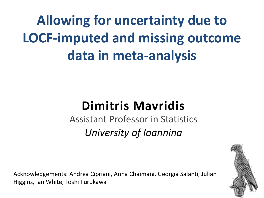**Allowing for uncertainty due to LOCF-imputed and missing outcome data in meta-analysis** 

### **Dimitris Mavridis**

Assistant Professor in Statistics *University of Ioannina*

Acknowledgements: Andrea Cipriani, Anna Chaimani, Georgia Salanti, Julian Higgins, Ian White, Toshi Furukawa

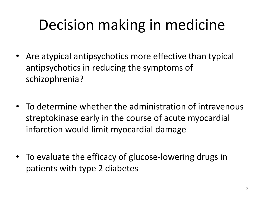# Decision making in medicine

- Are atypical antipsychotics more effective than typical antipsychotics in reducing the symptoms of schizophrenia?
- To determine whether the administration of intravenous streptokinase early in the course of acute myocardial infarction would limit myocardial damage
- To evaluate the efficacy of glucose-lowering drugs in patients with type 2 diabetes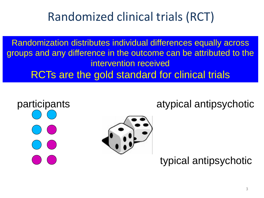### Randomized clinical trials (RCT)

Randomization distributes individual differences equally across groups and any difference in the outcome can be attributed to the intervention received RCTs are the gold standard for clinical trials





atypical antipsychotic

typical antipsychotic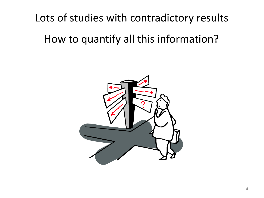### Lots of studies with contradictory results

### How to quantify all this information?

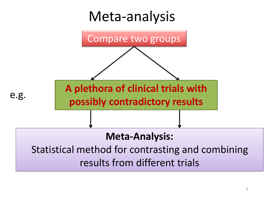### Meta-analysis

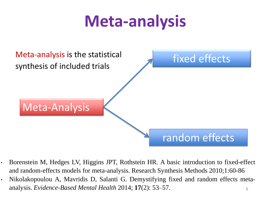# **Meta-analysis**



- Borenstein M, Hedges LV, Higgins JPT, Rothstein HR. A basic introduction to fixed-effect and random-effects models for meta-analysis. Research Synthesis Methods 2010;1:60-86
- 6 • Nikolakopoulou A, Mavridis D, Salanti G. Demystifying fixed and random effects metaanalysis. *Evidence-Based Mental Health* 2014; **17**(2): 53–57.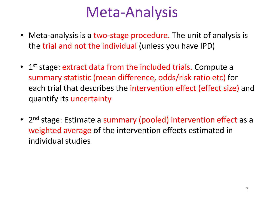### Meta-Analysis

- Meta-analysis is a two-stage procedure. The unit of analysis is the trial and not the individual (unless you have IPD)
- 1<sup>st</sup> stage: extract data from the included trials. Compute a summary statistic (mean difference, odds/risk ratio etc) for each trial that describes the intervention effect (effect size) and quantify its uncertainty
- 2<sup>nd</sup> stage: Estimate a summary (pooled) intervention effect as a weighted average of the intervention effects estimated in individual studies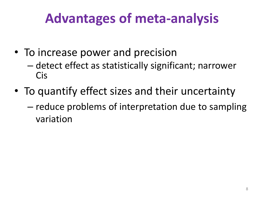### **Advantages of meta-analysis**

- To increase power and precision
	- detect effect as statistically significant; narrower Cis
- To quantify effect sizes and their uncertainty – reduce problems of interpretation due to sampling variation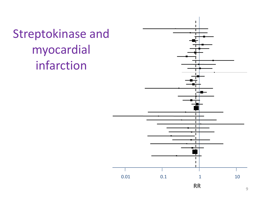Streptokinase and myocardial infarction

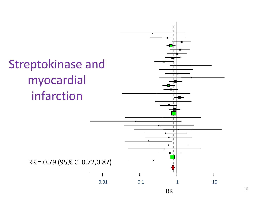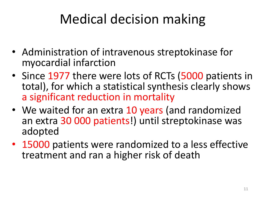## Medical decision making

- Administration of intravenous streptokinase for myocardial infarction
- Since 1977 there were lots of RCTs (5000 patients in total), for which a statistical synthesis clearly shows a significant reduction in mortality
- We waited for an extra 10 years (and randomized an extra 30 000 patients!) until streptokinase was adopted
- 15000 patients were randomized to a less effective treatment and ran a higher risk of death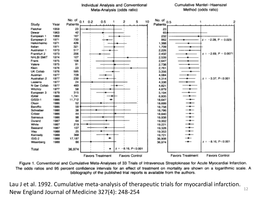

Cumulative Mantel-Haenszel

Individual Analysis and Conventional

Figure 1. Conventional and Cumulative Meta-Analyses of 33 Trials of Intravenous Streptokinase for Acute Myocardial Infarction. The odds ratios and 95 percent confidence intervals for an effect of treatment on mortality are shown on a logarithmic scale. A bibliography of the published trial reports is available from the authors.

12 Lau J et al. 1992. Cumulative meta-analysis of therapeutic trials for myocardial infarction. New England Journal of Medicine 327(4): 248-254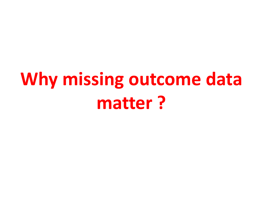# **Why missing outcome data matter ?**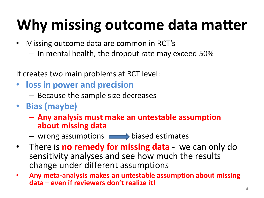# **Why missing outcome data matter**

- Missing outcome data are common in RCT's
	- In mental health, the dropout rate may exceed 50%

It creates two main problems at RCT level:

- **loss in power and precision** 
	- Because the sample size decreases
- **Bias (maybe)**
	- **Any analysis must make an untestable assumption about missing data**
	- $-$  wrong assumptions  $\longrightarrow$  biased estimates
- There is **no remedy for missing data**  we can only do sensitivity analyses and see how much the results change under different assumptions
- **Any meta-analysis makes an untestable assumption about missing data – even if reviewers don't realize it!**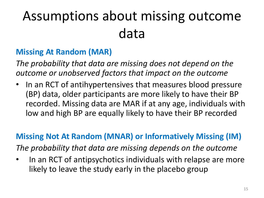## Assumptions about missing outcome data

#### **Missing At Random (MAR)**

*The probability that data are missing does not depend on the outcome or unobserved factors that impact on the outcome*

• In an RCT of antihypertensives that measures blood pressure (BP) data, older participants are more likely to have their BP recorded. Missing data are MAR if at any age, individuals with low and high BP are equally likely to have their BP recorded

#### **Missing Not At Random (MNAR) or Informatively Missing (IM)**

*The probability that data are missing depends on the outcome*

• In an RCT of antipsychotics individuals with relapse are more likely to leave the study early in the placebo group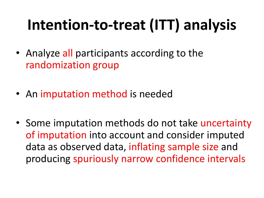# **Intention-to-treat (ITT) analysis**

- Analyze all participants according to the randomization group
- An imputation method is needed
- Some imputation methods do not take uncertainty of imputation into account and consider imputed data as observed data, inflating sample size and producing spuriously narrow confidence intervals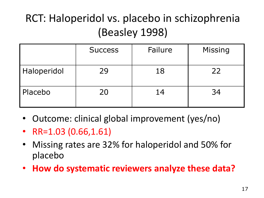### RCT: Haloperidol vs. placebo in schizophrenia (Beasley 1998)

|             | <b>Success</b> | Failure | <b>Missing</b> |
|-------------|----------------|---------|----------------|
| Haloperidol | 29             | 18      | 22             |
| Placebo     | 20             | 14      | 34             |

- Outcome: clinical global improvement (yes/no)
- RR=1.03 (0.66,1.61)
- Missing rates are 32% for haloperidol and 50% for placebo
- **How do systematic reviewers analyze these data?**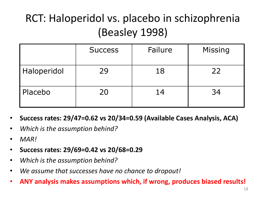### RCT: Haloperidol vs. placebo in schizophrenia (Beasley 1998)

|             | <b>Success</b> | Failure | <b>Missing</b> |
|-------------|----------------|---------|----------------|
| Haloperidol | 29             | 18      | 22             |
| Placebo     | 20             | 14      | 34             |

- **Success rates: 29/47=0.62 vs 20/34=0.59 (Available Cases Analysis, ACA)**
- *Which is the assumption behind?*
- *MAR!*
- **Success rates: 29/69=0.42 vs 20/68=0.29**
- *Which is the assumption behind?*
- *We assume that successes have no chance to dropout!*
- **ANY analysis makes assumptions which, if wrong, produces biased results!**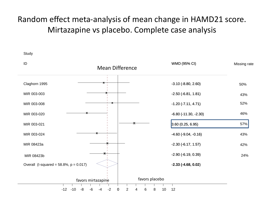#### Random effect meta-analysis of mean change in HAMD21 score. Mirtazapine vs placebo. Complete case analysis

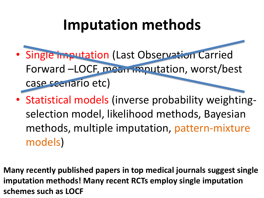## **Imputation methods**

- Single imputation (Last Observation Carried Forward –LOCF, mean imputation, worst/best case scenario etc)
- Statistical models (inverse probability weightingselection model, likelihood methods, Bayesian methods, multiple imputation, pattern-mixture models)
- **Many recently published papers in top medical journals suggest single imputation methods! Many recent RCTs employ single imputation schemes such as LOCF**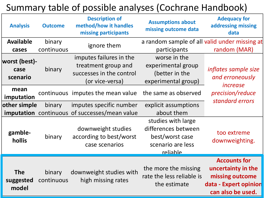### Summary table of possible analyses (Cochrane Handbook)

| <b>Analysis</b>                   | <b>Outcome</b>       | <b>Description of</b><br>method/how it handles<br>missing participants                        | <b>Assumptions about</b><br>missing outcome data                                              | <b>Adequacy for</b><br>addressing missing<br>data                                                          |
|-----------------------------------|----------------------|-----------------------------------------------------------------------------------------------|-----------------------------------------------------------------------------------------------|------------------------------------------------------------------------------------------------------------|
| <b>Available</b><br>cases         | binary<br>continuous | ignore them                                                                                   | a random sample of all valid under missing at<br>participants                                 | random (MAR)                                                                                               |
| worst (best)-<br>case<br>scenario | binary               | imputes failures in the<br>treatment group and<br>successes in the control<br>(or vice-versa) | worse in the<br>experimental group<br>(better in the<br>experimental group)                   | inflates sample size<br>and erroneously                                                                    |
| mean<br>imputation                |                      | continuous imputes the mean value                                                             | the same as observed                                                                          | <i>increase</i><br>precision/reduce<br>standard errors                                                     |
| other simple                      | binary               | imputes specific number<br><b>imputation</b> continuous of successes/mean value               | explicit assumptions<br>about them                                                            |                                                                                                            |
| gamble-<br>hollis                 | binary               | downweight studies<br>according to best/worst<br>case scenarios                               | studies with large<br>differences between<br>best/worst case<br>scenario are less<br>reliable | too extreme<br>downweighting.                                                                              |
| <b>The</b><br>suggested<br>model  | binary<br>continuous | downweight studies with<br>high missing rates                                                 | the more the missing<br>rate the less reliable is<br>the estimate                             | <b>Accounts for</b><br>uncertainty in the<br>missing outcome<br>data - Expert opinion<br>can also be used. |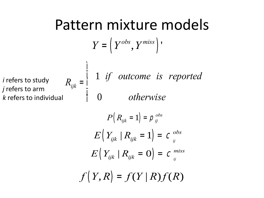## Pattern mixture models

$$
Y=\left( Y^{obs}, Y^{miss}\right){\rm '}
$$

*i* refers to study *j* refers to arm *k* refers to individual  $R_{ijk} =$ 1 *if outcome is reported* 0 *otherwise* í ï î ï

ì

$$
P(R_{ijk} = 1) = \rho_{ij}^{obs}
$$

$$
E(Y_{ijk} | R_{ijk} = 1) = C_{ij}^{obs}
$$

$$
E(Y_{ijk} | R_{ijk} = 0) = C_{ij}^{miss}
$$

$$
f(Y,R)=f(Y|R)f(R)
$$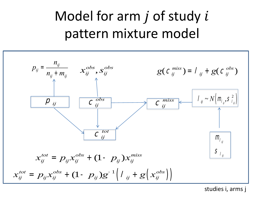## Model for arm  $j$  of study  $i$ pattern mixture model



studies i, arms j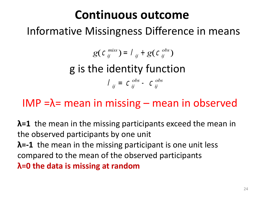### **Continuous outcome**

### Informative Missingness Difference in means

$$
g(C_{ij}^{miss}) = I_{ij} + g(C_{ij}^{obs})
$$

g is the identity function

$$
I_{ij} = C_{ij}^{obs} - C_{ij}^{obs}
$$

### IMP =λ= mean in missing – mean in observed

**λ=1** the mean in the missing participants exceed the mean in the observed participants by one unit **λ=-1** the mean in the missing participant is one unit less compared to the mean of the observed participants **λ=0 the data is missing at random**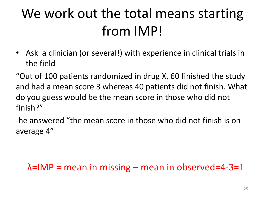## We work out the total means starting from IMP!

• Ask a clinician (or several!) with experience in clinical trials in the field

"Out of 100 patients randomized in drug X, 60 finished the study and had a mean score 3 whereas 40 patients did not finish. What do you guess would be the mean score in those who did not finish?"

-he answered "the mean score in those who did not finish is on average 4"

### $\lambda$ =IMP = mean in missing – mean in observed=4-3=1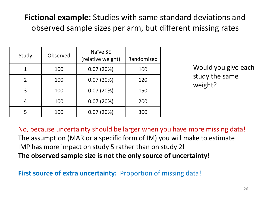### **Fictional example:** Studies with same standard deviations and observed sample sizes per arm, but different missing rates

| Study          | Observed | Naïve SE<br>(relative weight) |     |
|----------------|----------|-------------------------------|-----|
|                | 100      | 0.07(20%)                     | 100 |
| $\overline{2}$ | 100      | 0.07(20%)                     | 120 |
| 3              | 100      | 0.07(20%)                     | 150 |
| 4              | 100      | 0.07(20%)                     | 200 |
|                | 100      | 0.07(20%)                     | 300 |

Would you give each study the same weight?

No, because uncertainty should be larger when you have more missing data! The assumption (MAR or a specific form of IM) you will make to estimate IMP has more impact on study 5 rather than on study 2! **The observed sample size is not the only source of uncertainty!**

**First source of extra uncertainty:** Proportion of missing data!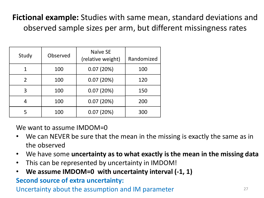### **Fictional example:** Studies with same mean, standard deviations and observed sample sizes per arm, but different missingness rates

| Study          | Observed | Naïve SE<br>(relative weight) | Randomized |
|----------------|----------|-------------------------------|------------|
|                | 100      | 0.07(20%)                     | 100        |
| $\overline{2}$ | 100      | 0.07(20%)                     | 120        |
| 3              | 100      | 0.07(20%)                     | 150        |
| 4              | 100      | 0.07(20%)                     | 200        |
|                | 100      | 0.07(20%)                     | 300        |

We want to assume IMDOM=0

- We can NEVER be sure that the mean in the missing is exactly the same as in the observed
- We have some **uncertainty as to what exactly is the mean in the missing data**
- This can be represented by uncertainty in IMDOM!
- We assume IMDOM=0 with uncertainty interval (-1, 1)

#### **Second source of extra uncertainty:**

Uncertainty about the assumption and IM parameter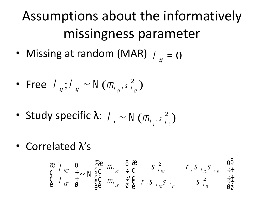## Assumptions about the informatively missingness parameter

• Missing at random (MAR)  $l_{ij} = 0$ 

• Free 
$$
I_{ij}
$$
;  $I_{ij} \sim N(m_{I_{ij}}, s_{I_{ij}}^2)$ 

- Study specific λ:  $l_i \sim N(m_{l_i}, s_{l_i}^2)$  $\binom{2}{1}$
- Correlated λ's

$$
\begin{array}{cccc}\n\text{a} & \text{h}_{i} & \ddot{\mathbf{0}} & \text{h}_{i} & \ddot{\mathbf{0}} & \text{h}_{i} \\
\text{c} & \text{h}_{i} & \ddot{\mathbf{0}} & \text{h}_{i} & \text{h}_{i} & \text{h}_{i} \\
\text{c} & \text{h}_{i} & \ddot{\mathbf{0}} & \text{h}_{i} & \text{h}_{i} & \text{h}_{i} \\
\text{c} & \text{h}_{i} & \ddot{\mathbf{0}} & \text{h}_{i} & \text{h}_{i} & \text{h}_{i} \\
\text{c} & \text{h}_{i} & \ddot{\mathbf{0}} & \text{h}_{i} & \text{h}_{i} & \text{h}_{i} & \text{h}_{i} \\
\text{c} & \text{h}_{i} & \ddot{\mathbf{0}} & \text{h}_{i} & \text{h}_{i} & \text{h}_{i} & \text{h}_{i} \\
\text{c} & \text{h}_{i} & \ddot{\mathbf{0}} & \text{h}_{i} & \text{h}_{i} & \text{h}_{i} & \text{h}_{i} \\
\text{c} & \text{h}_{i} & \ddot{\mathbf{0}} & \text{h}_{i} & \text{h}_{i} & \text{h}_{i} & \text{h}_{i} \\
\text{c} & \text{h}_{i} & \ddot{\mathbf{0}} & \text{h}_{i} & \text{h}_{i} & \text{h}_{i} & \text{h}_{i} \\
\text{c} & \text{h}_{i} & \ddot{\mathbf{0}} & \text{h}_{i} & \text{h}_{i} & \text{h}_{i} & \text{h}_{i} \\
\text{c} & \text{h}_{i} & \ddot{\mathbf{0}} & \text{h}_{i} & \text{h}_{i} & \text{h}_{i} & \text{h}_{i} \\
\text{c} & \text{h}_{i} & \ddot{\mathbf{0}} & \text{h}_{i} & \text
$$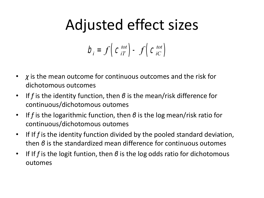## Adjusted effect sizes

$$
b_i = f\left(c_{iT}^{tot}\right) - f\left(c_{iC}^{tot}\right)
$$

- *χ* is the mean outcome for continuous outcomes and the risk for dichotomous outcomes
- If *f* is the identity function, then *β* is the mean/risk difference for continuous/dichotomous outomes
- If *f* is the logarithmic function, then *β* is the log mean/risk ratio for continuous/dichotomous outomes
- If If *f* is the identity function divided by the pooled standard deviation, then *β* is the standardized mean difference for continuous outomes
- If If *f* is the logit funtion, then *β* is the log odds ratio for dichotomous outomes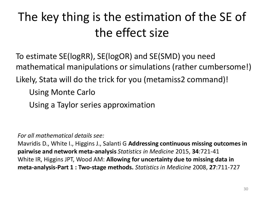### The key thing is the estimation of the SE of the effect size

To estimate SE(logRR), SE(logOR) and SE(SMD) you need mathematical manipulations or simulations (rather cumbersome!) Likely, Stata will do the trick for you (metamiss2 command)!

Using Monte Carlo

Using a Taylor series approximation

*For all mathematical details see:*

Mavridis D., White I., Higgins J., Salanti G **Addressing continuous missing outcomes in pairwise and network meta-analysis** *Statistics in Medicine* 2015, **34**:721-41 White IR, Higgins JPT, Wood AM: **Allowing for uncertainty due to missing data in meta-analysis-Part 1 : Two-stage methods.** *Statistics in Medicine* 2008, **27**:711-727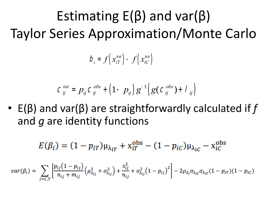Estimating  $E(\beta)$  and var( $\beta$ ) Taylor Series Approximation/Monte Carlo

$$
D_i = f\left(x_{iT}^{tot}\right) - f\left(x_{iC}^{tot}\right)
$$

$$
C_{ij}^{tot} = p_{ij} C_{ij}^{obs} + (1 - p_{ij}) g^{-1} (g (C_{ij}^{obs}) + I_{ij})
$$

• E(β) and var(β) are straightforwardly calculated if *f* and *g* are identity functions

$$
E(\beta_i) = (1 - p_{iT})\mu_{\lambda_{iT}} + x_{iT}^{\text{obs}} - (1 - p_{iC})\mu_{\lambda_{iC}} - x_{iC}^{\text{obs}}
$$

$$
var(\beta_i) \approx \sum_{j=C,T} \left[ \frac{p_{ij}(1-p_{ij})}{n_{ij} + m_{ij}} \left( \mu_{\lambda_{ij}}^2 + \sigma_{\lambda_{ij}}^2 \right) + \frac{s_{ij}^2}{n_{ij}} + \sigma_{\lambda_{ij}}^2 (1-p_{ij})^2 \right] - 2 \rho_{\lambda_i} \sigma_{\lambda_{ic}} \sigma_{\lambda_{ir}} (1-p_{ir}) (1-p_{ic})
$$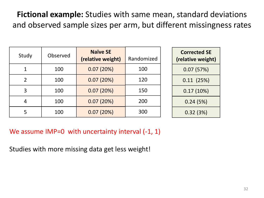**Fictional example:** Studies with same mean, standard deviations and observed sample sizes per arm, but different missingness rates

| Study          | Observed | <b>Naïve SE</b><br>(relative weight) | Randomized |
|----------------|----------|--------------------------------------|------------|
|                | 100      | 0.07(20%)                            | 100        |
| $\overline{2}$ | 100      | 0.07(20%)                            | 120        |
| 3              | 100      | 0.07(20%)                            | 150        |
| 4              | 100      | 0.07(20%)                            | 200        |
|                | 100      | 0.07(20%)                            | 300        |

| <b>Corrected SE</b><br>(relative weight) |
|------------------------------------------|
| 0.07(57%)                                |
| 0.11(25%)                                |
| 0.17(10%)                                |
| 0.24 (5%)                                |
| 0.32(3%)                                 |

We assume IMP=0 with uncertainty interval (-1, 1)

Studies with more missing data get less weight!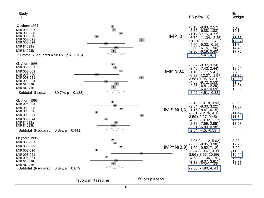| Study<br>ID                                                                                                                                                            | ES (95% CI)                                                                                                                                                                                                                                                                      | %<br>Weight                                                                  |
|------------------------------------------------------------------------------------------------------------------------------------------------------------------------|----------------------------------------------------------------------------------------------------------------------------------------------------------------------------------------------------------------------------------------------------------------------------------|------------------------------------------------------------------------------|
| Claghorn 1995<br>MIR 003-003<br>MIR 003-008<br>MIR 003-020<br>MIR 003-021<br>MIR 003-024<br>MIR 84023a<br>MIR 84023b<br>Subtotal (I-squared = $58.6\%$ , $p = 0.018$ ) | $-3.13$ $(-8.83, 2.57)$<br>$-2.52$ ( $-6.88$ , 1.83)<br>$-1.19$ $(-7.15, 4.77)$<br>$IMP=0$<br>-6.79 (-11.34, -2.25)<br>3.62(0.25, 6.98)<br>$-4.60$ ( $-9.03$ , $-0.16$ )<br>$-2.30$ $(-6.15, 1.56)$<br><u>-2.90 (-6.19, 0.40)</u><br>$-2.34(-4.67, 0)$                           | 7.93<br>12.1<br>7.36<br>11.36<br>17.27<br>11.8<br>14.43<br>17.75             |
| Claghorn 1995<br>MIR 003-003<br>MIR 003-008<br>MIR 003-020<br>MIR 003-021<br>MIR 003-024<br>MIR 84023a<br>MIR 84023b<br>Subtotal (I-squared = $30.7\%$ , $p = 0.183$ ) | $-3.07$ $(-9.37, 3.24)$<br>$-2.49$ $(-7.43, 2.44)$<br>$IMP^N(0,1)$<br>$-1.18$ ( $-7.77, 5.41$ )<br>$-6.82$ ( $-12.07$ , $-1.57$ )<br>$3.58$ ( $-1.05$ , $8.21$ )<br>$-4.60$ ( $-9.72, 0.53$ )<br>$-2.26$ ( $-6.81$ , 2.29)<br><u>-2.89 (-6.47. 0.69)</u><br>-2.42 (-4.51, -0.33) | 8.39<br>12.54<br>7.76<br><u>11 วด</u><br>13.88<br>11.84<br>14.25<br>19.96    |
| Claghorn 1995<br>MIR 003-003<br>MIR 003-008<br>MIR 003-020<br>MIR 003-021<br>MIR 003-024<br>MIR 84023a<br>MIR 84023b<br>Subtotal (I-squared = $0.0\%$ , $p = 0.441$ )  | $-3.13$ $(-10.18, 3.93)$<br>$-2.54$ $(-8.30, 3.22)$<br>$IMP^N(0,4)$<br>$-1.16$ $(-8.47, 6.15)$<br>$-6.81$ $(-12.76, -0.85)$<br>$3.59$ ( $-2.27, 9.45$ )<br>$-4.60$ ( $-10.32, 1.13$ )<br>$-2.32$ ( $-7.59$ , $2.95$ )<br>$-291/680/098$<br>$-2.54$ $(-4.5, -0.58)$               | 8.53<br>12.06<br>8.02<br>11.42<br>11.74<br>TZ.Z<br>13.98<br>22.05            |
| Claghorn 1995<br>MIR 003-003<br>MIR 003-008<br>MIR 003-020<br>MIR 003-021<br>MIR 003-024<br>MIR 84023a<br>MIR 84023b<br>Subtotal (I-squared = $0.0\%$ , $p = 0.679$ )  | $-3.05$ $(-11.12, 5.02)$<br>$-2.53$ $(-9.05, 3.98)$<br>$IMP^N(0,9)$<br>$-1.20$ ( $-9.52$ , $7.12$ )<br>$-6.84$ ( $-13.67$ , $-0.00$ )<br>$3.56$ ( $-3.57$ , $10.69$ )<br>$-4.58(-11.06, 1.91)$<br>$-2.28$ $(-8.37, 3.81)$<br><u>2 02 1-7 27   1  13,</u><br>-2.66 (-4.90, -0.41) | 8.38<br>12.28<br>7.92<br><del>11.3</del><br>10.44<br>12.34<br>13.77<br>23.58 |
| favors mirtazapine                                                                                                                                                     | favors placebo                                                                                                                                                                                                                                                                   |                                                                              |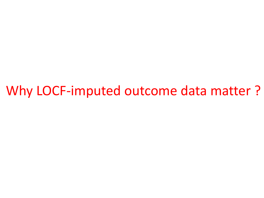Why LOCF-imputed outcome data matter ?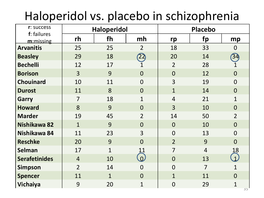### Haloperidol vs. placebo in schizophrenia

| r: success               | <b>Haloperidol</b> |              |                |                | <b>Placebo</b> |                |  |  |
|--------------------------|--------------------|--------------|----------------|----------------|----------------|----------------|--|--|
| f: failures<br>m:missing | rh                 | fh           | mh             | rp             | fp             | mp             |  |  |
| <b>Arvanitis</b>         | 25                 | 25           | $\overline{2}$ | 18             | 33             | $\overline{0}$ |  |  |
| <b>Beasley</b>           | 29                 | 18           | 22             | 20             | 14             | 34             |  |  |
| <b>Bechelli</b>          | 12                 | 17           | $\mathbf 1$    | $\overline{2}$ | 28             | $\mathbf{1}$   |  |  |
| <b>Borison</b>           | $\overline{3}$     | 9            | $\overline{0}$ | $\overline{0}$ | 12             | $\overline{0}$ |  |  |
| <b>Chouinard</b>         | 10                 | 11           | $\overline{0}$ | 3              | 19             | $\overline{0}$ |  |  |
| <b>Durost</b>            | 11                 | 8            | $\overline{0}$ | $\overline{1}$ | 14             | $\overline{0}$ |  |  |
| <b>Garry</b>             | $\overline{7}$     | 18           | $\mathbf{1}$   | $\overline{4}$ | 21             | $\mathbf{1}$   |  |  |
| <b>Howard</b>            | 8                  | 9            | $\overline{0}$ | 3              | 10             | $\overline{0}$ |  |  |
| <b>Marder</b>            | 19                 | 45           | $\overline{2}$ | 14             | 50             | $\overline{2}$ |  |  |
| Nishikawa 82             | $\mathbf{1}$       | 9            | $\overline{0}$ | $\overline{0}$ | 10             | $\overline{0}$ |  |  |
| Nishikawa 84             | 11                 | 23           | 3              | $\overline{0}$ | 13             | $\overline{0}$ |  |  |
| <b>Reschke</b>           | 20                 | 9            | $\overline{0}$ | $\overline{2}$ | 9              | $\overline{0}$ |  |  |
| <b>Selman</b>            | 17                 | $\mathbf{1}$ | 11             | $\overline{7}$ | $\overline{4}$ | 18             |  |  |
| <b>Serafetinides</b>     | $\overline{4}$     | 10           | $\omega$       | $\overline{0}$ | 13             | $\overline{1}$ |  |  |
| <b>Simpson</b>           | $\overline{2}$     | 14           | $\overline{0}$ | $\overline{0}$ | $\overline{7}$ | $\mathbf{1}$   |  |  |
| <b>Spencer</b>           | 11                 | $\mathbf{1}$ | $\overline{0}$ | $\overline{1}$ | 11             | $\overline{0}$ |  |  |
| <b>Vichaiya</b>          | 9                  | 20           | $\mathbf 1$    | $\mathbf 0$    | 29             | $\mathbf 1$    |  |  |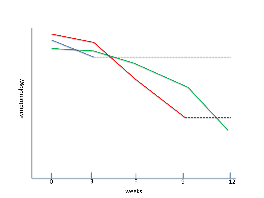



weeks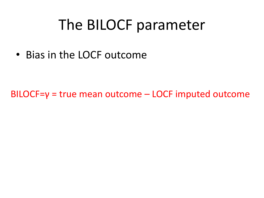### The BILOCF parameter

• Bias in the LOCF outcome

BILOCF=γ = true mean outcome – LOCF imputed outcome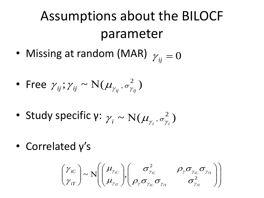### Assumptions about the BILOCF parameter

- Missing at random (MAR)  $\gamma_{ij} = 0$
- Free  $\gamma_{ij}$ ;  $\gamma_{ij} \sim N(\mu_{\gamma_{ii}}, \sigma_{\gamma_{ii}}^2)$ ,  $\sigma_{\gamma}^{2}$  $\gamma_{ij}$ ;  $\gamma_{ij} \sim N(\mu_{\gamma_{ij}}, \sigma^2_{\gamma_{ij}})$
- Study specific γ:  $\gamma_i \sim N(\mu_{\nu_i}, \sigma_{\nu_i}^2)$ ,  $\sigma_{\gamma}^{2}$  $\gamma_i \sim N(\mu_{\gamma_i}, \sigma_{\gamma_i}^2)$
- Correlated γ's

$$
\begin{pmatrix} \gamma_{iC} \\ \gamma_{iT} \end{pmatrix} \sim N \begin{pmatrix} \mu_{\gamma_{iC}} \\ \mu_{\gamma_{iT}} \end{pmatrix}, \begin{pmatrix} \sigma_{\gamma_{iC}}^2 & \rho_{\gamma \sigma_{\gamma_{iC}} \sigma_{\gamma_{iT}} \\ \rho_{\gamma \sigma_{\gamma_{iC}} \sigma_{\gamma_{iT}} & \sigma_{\gamma_{iT}}^2 \end{pmatrix}
$$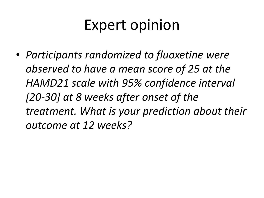## Expert opinion

• *Participants randomized to fluoxetine were observed to have a mean score of 25 at the HAMD21 scale with 95% confidence interval [20-30] at 8 weeks after onset of the treatment. What is your prediction about their outcome at 12 weeks?*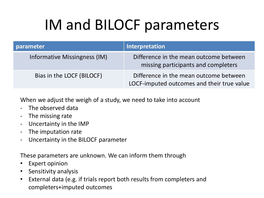# IM and BILOCF parameters

| parameter                    | Interpretation                                                                       |
|------------------------------|--------------------------------------------------------------------------------------|
| Informative Missingness (IM) | Difference in the mean outcome between<br>missing participants and completers        |
| Bias in the LOCF (BILOCF)    | Difference in the mean outcome between<br>LOCF-imputed outcomes and their true value |

When we adjust the weigh of a study, we need to take into account

- The observed data
- The missing rate
- Uncertainty in the IMP
- The imputation rate
- Uncertainty in the BILOCF parameter

These parameters are unknown. We can inform them through

- Expert opinion
- Sensitivity analysis
- External data (e.g. if trials report both results from completers and completers+imputed outcomes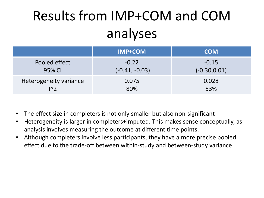## Results from IMP+COM and COM analyses

|                             | <b>IMP+COM</b>   | <b>COM</b>      |
|-----------------------------|------------------|-----------------|
| Pooled effect               | $-0.22$          | $-0.15$         |
| 95% CI                      | $(-0.41, -0.03)$ | $(-0.30, 0.01)$ |
| Heterogeneity variance      | 0.075            | 0.028           |
| $\lfloor \Lambda_2 \rfloor$ | 80%              | 53%             |

- The effect size in completers is not only smaller but also non-significant
- Heterogeneity is larger in completers+imputed. This makes sense conceptually, as analysis involves measuring the outcome at different time points.
- Although completers involve less participants, they have a more precise pooled effect due to the trade-off between within-study and between-study variance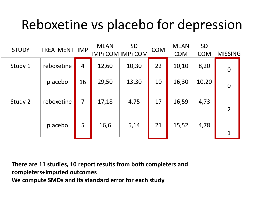### Reboxetine vs placebo for depression

| <b>STUDY</b> | <b>TREATMENT IMP</b> |                | <b>MEAN</b> | <b>SD</b><br><b>IMP+COM IMP+COM</b> | <b>COM</b> | <b>MEAN</b> | <b>SD</b><br><b>COM</b> |                |
|--------------|----------------------|----------------|-------------|-------------------------------------|------------|-------------|-------------------------|----------------|
|              |                      |                |             |                                     |            | <b>COM</b>  |                         | <b>MISSING</b> |
| Study 1      | reboxetine           | $\overline{4}$ | 12,60       | 10,30                               | 22         | 10,10       | 8,20                    | $\mathbf 0$    |
|              | placebo              | 16             | 29,50       | 13,30                               | 10         | 16,30       | 10,20                   | $\mathbf 0$    |
| Study 2      | reboxetine           | 7              | 17,18       | 4,75                                | 17         | 16,59       | 4,73                    | $\overline{2}$ |
|              | placebo              | 5              | 16,6        | 5,14                                | 21         | 15,52       | 4,78                    | $\mathbf{1}$   |

**There are 11 studies, 10 report results from both completers and completers+imputed outcomes We compute SMDs and its standard error for each study**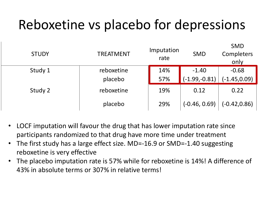### Reboxetine vs placebo for depressions

| <b>STUDY</b> | <b>TREATMENT</b> | Imputation<br>rate | <b>SMD</b>      | <b>SMD</b><br>Completers<br>only |
|--------------|------------------|--------------------|-----------------|----------------------------------|
| Study 1      | reboxetine       | 14%                | $-1.40$         | $-0.68$                          |
|              | placebo          | 57%                | $(-1.99,-0.81)$ | $(-1.45, 0.09)$                  |
| Study 2      | reboxetine       | 19%                | 0.12            | 0.22                             |
|              | placebo          | 29%                | $(-0.46, 0.69)$ | $(-0.42, 0.86)$                  |

- LOCF imputation will favour the drug that has lower imputation rate since participants randomized to that drug have more time under treatment
- The first study has a large effect size. MD=-16.9 or SMD=-1.40 suggesting reboxetine is very effective
- The placebo imputation rate is 57% while for reboxetine is 14%! A difference of 43% in absolute terms or 307% in relative terms!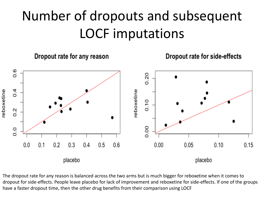### Number of dropouts and subsequent LOCF imputations







The dropout rate for any reason is balanced across the two arms but is much bigger for reboxetine when it comes to dropout for side-effects. People leave placebo for lack of improvement and reboxetine for side-effects. If one of the groups have a faster dropout time, then the other drug benefits from their comparison using LOCF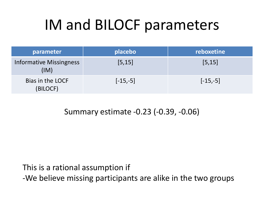# IM and BILOCF parameters

| parameter                       | placebo    | reboxetine |
|---------------------------------|------------|------------|
| Informative Missingness<br>(IM) | [5, 15]    | [5, 15]    |
| Bias in the LOCF<br>(BILOCF)    | $[-15,-5]$ | $[-15,-5]$ |

#### Summary estimate -0.23 (-0.39, -0.06)

This is a rational assumption if

-We believe missing participants are alike in the two groups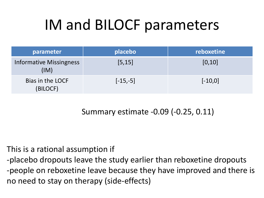# IM and BILOCF parameters

| parameter                              | placebo    | reboxetine |
|----------------------------------------|------------|------------|
| <b>Informative Missingness</b><br>(IM) | [5, 15]    | [0, 10]    |
| Bias in the LOCF<br>(BILOCF)           | $[-15,-5]$ | $[-10, 0]$ |

Summary estimate -0.09 (-0.25, 0.11)

#### This is a rational assumption if

-placebo dropouts leave the study earlier than reboxetine dropouts -people on reboxetine leave because they have improved and there is no need to stay on therapy (side-effects)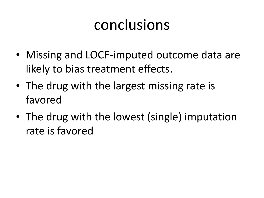## conclusions

- Missing and LOCF-imputed outcome data are likely to bias treatment effects.
- The drug with the largest missing rate is favored
- The drug with the lowest (single) imputation rate is favored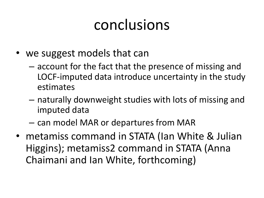## conclusions

- we suggest models that can
	- account for the fact that the presence of missing and LOCF-imputed data introduce uncertainty in the study estimates
	- naturally downweight studies with lots of missing and imputed data
	- can model MAR or departures from MAR
- metamiss command in STATA (Ian White & Julian Higgins); metamiss2 command in STATA (Anna Chaimani and Ian White, forthcoming)